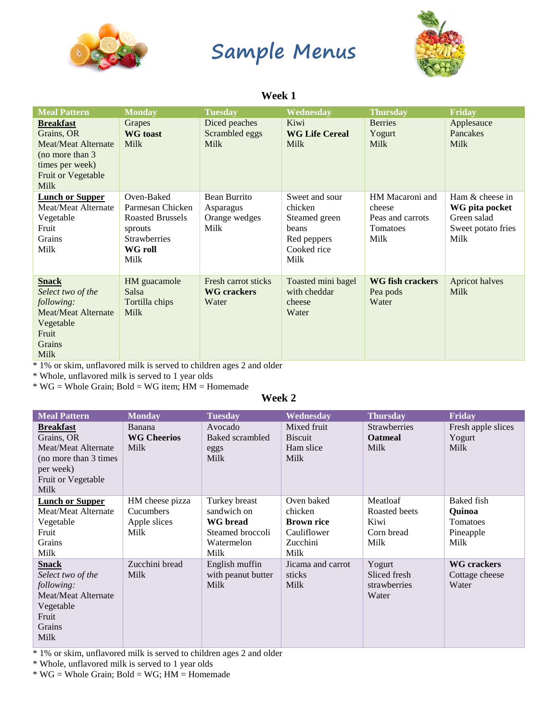

# **Sample Menus**



### **Week 1**

| <b>Meal Pattern</b>                                                                                                                      | <b>Monday</b>                                                                                                         | <b>Tuesday</b>                                     | Wednesday                                                                                 | <b>Thursday</b>                                                   | <b>Friday</b>                                                                  |
|------------------------------------------------------------------------------------------------------------------------------------------|-----------------------------------------------------------------------------------------------------------------------|----------------------------------------------------|-------------------------------------------------------------------------------------------|-------------------------------------------------------------------|--------------------------------------------------------------------------------|
| <b>Breakfast</b><br>Grains, OR<br><b>Meat/Meat Alternate</b><br>(no more than 3)<br>times per week)<br>Fruit or Vegetable<br><b>Milk</b> | Grapes<br><b>WG</b> toast<br><b>Milk</b>                                                                              | Diced peaches<br>Scrambled eggs<br><b>Milk</b>     | Kiwi<br><b>WG Life Cereal</b><br><b>Milk</b>                                              | <b>Berries</b><br>Yogurt<br><b>Milk</b>                           | Applesauce<br>Pancakes<br>Milk                                                 |
| <b>Lunch or Supper</b><br>Meat/Meat Alternate<br>Vegetable<br>Fruit<br><b>Grains</b><br>Milk                                             | Oven-Baked<br>Parmesan Chicken<br><b>Roasted Brussels</b><br>sprouts<br><b>Strawberries</b><br><b>WG</b> roll<br>Milk | Bean Burrito<br>Asparagus<br>Orange wedges<br>Milk | Sweet and sour<br>chicken<br>Steamed green<br>beans<br>Red peppers<br>Cooked rice<br>Milk | HM Macaroni and<br>cheese<br>Peas and carrots<br>Tomatoes<br>Milk | Ham & cheese in<br>WG pita pocket<br>Green salad<br>Sweet potato fries<br>Milk |
| <b>Snack</b><br>Select two of the<br>following:<br><b>Meat/Meat Alternate</b><br>Vegetable<br>Fruit<br>Grains<br><b>Milk</b>             | HM guacamole<br><b>Salsa</b><br>Tortilla chips<br><b>Milk</b>                                                         | Fresh carrot sticks<br><b>WG</b> crackers<br>Water | Toasted mini bagel<br>with cheddar<br>cheese<br>Water                                     | <b>WG</b> fish crackers<br>Pea pods<br>Water                      | Apricot halves<br><b>Milk</b>                                                  |

\* 1% or skim, unflavored milk is served to children ages 2 and older

\* Whole, unflavored milk is served to 1 year olds

\* WG = Whole Grain; Bold = WG item; HM = Homemade

#### **Week 2**

| <b>Meal Pattern</b>                                                                                                               | <b>Monday</b>                                               | <b>Tuesday</b>                                                                            | Wednesday                                                                     | <b>Thursday</b>                                         | Friday                                                              |
|-----------------------------------------------------------------------------------------------------------------------------------|-------------------------------------------------------------|-------------------------------------------------------------------------------------------|-------------------------------------------------------------------------------|---------------------------------------------------------|---------------------------------------------------------------------|
| <b>Breakfast</b><br>Grains, OR<br><b>Meat/Meat Alternate</b><br>(no more than 3 times)<br>per week)<br>Fruit or Vegetable<br>Milk | Banana<br><b>WG Cheerios</b><br>Milk                        | Avocado<br>Baked scrambled<br>eggs<br>Milk                                                | Mixed fruit<br><b>B</b> iscuit<br>Ham slice<br><b>Milk</b>                    | <b>Strawberries</b><br><b>Oatmeal</b><br><b>Milk</b>    | Fresh apple slices<br>Yogurt<br><b>Milk</b>                         |
| <b>Lunch or Supper</b><br>Meat/Meat Alternate<br>Vegetable<br>Fruit<br>Grains<br>Milk                                             | HM cheese pizza<br><b>Cucumbers</b><br>Apple slices<br>Milk | Turkey breast<br>sandwich on<br><b>WG</b> bread<br>Steamed broccoli<br>Watermelon<br>Milk | Oven baked<br>chicken<br><b>Brown rice</b><br>Cauliflower<br>Zucchini<br>Milk | Meatloaf<br>Roasted beets<br>Kiwi<br>Corn bread<br>Milk | <b>Baked</b> fish<br><b>Quinoa</b><br>Tomatoes<br>Pineapple<br>Milk |
| <b>Snack</b><br>Select two of the<br>following:<br><b>Meat/Meat Alternate</b><br>Vegetable<br>Fruit<br>Grains<br>Milk             | Zucchini bread<br>Milk                                      | English muffin<br>with peanut butter<br><b>Milk</b>                                       | Jicama and carrot<br>sticks<br>Milk                                           | Yogurt<br>Sliced fresh<br>strawberries<br>Water         | <b>WG</b> crackers<br>Cottage cheese<br>Water                       |

\* 1% or skim, unflavored milk is served to children ages 2 and older

\* Whole, unflavored milk is served to 1 year olds

 $*$  WG = Whole Grain; Bold = WG; HM = Homemade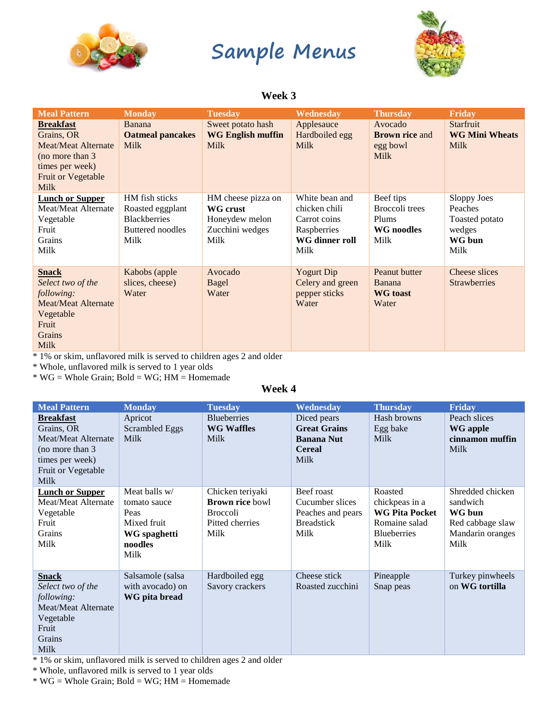

## **Sample Menus**



#### **Week 3**

| <b>Meal Pattern</b>                                                                                                                             | <b>Monday</b>                                                                         | <b>Tuesday</b>                                                              | Wednesday                                                                                | <b>Thursday</b>                                             | <b>Friday</b>                                                        |
|-------------------------------------------------------------------------------------------------------------------------------------------------|---------------------------------------------------------------------------------------|-----------------------------------------------------------------------------|------------------------------------------------------------------------------------------|-------------------------------------------------------------|----------------------------------------------------------------------|
| <b>Breakfast</b><br>Grains, OR<br><b>Meat/Meat Alternate</b><br>(no more than 3)<br>times per week)<br><b>Fruit or Vegetable</b><br><b>Milk</b> | Banana<br><b>Oatmeal pancakes</b><br><b>Milk</b>                                      | Sweet potato hash<br><b>WG English muffin</b><br><b>Milk</b>                | Applesauce<br>Hardboiled egg<br><b>Milk</b>                                              | Avocado<br><b>Brown rice and</b><br>egg bowl<br><b>Milk</b> | Starfruit<br><b>WG Mini Wheats</b><br><b>Milk</b>                    |
| <b>Lunch or Supper</b><br>Meat/Meat Alternate<br>Vegetable<br>Fruit<br>Grains<br>Milk                                                           | HM fish sticks<br>Roasted eggplant<br><b>Blackberries</b><br>Buttered noodles<br>Milk | HM cheese pizza on<br>WG crust<br>Honeydew melon<br>Zucchini wedges<br>Milk | White bean and<br>chicken chili<br>Carrot coins<br>Raspberries<br>WG dinner roll<br>Milk | Beef tips<br>Broccoli trees<br>Plums<br>WG noodles<br>Milk  | Sloppy Joes<br>Peaches<br>Toasted potato<br>wedges<br>WG bun<br>Milk |
| <b>Snack</b><br>Select two of the<br>following:<br><b>Meat/Meat Alternate</b><br>Vegetable<br>Fruit<br>Grains<br><b>Milk</b>                    | Kabobs (apple<br>slices, cheese)<br>Water                                             | Avocado<br>Bagel<br>Water                                                   | <b>Yogurt Dip</b><br>Celery and green<br>pepper sticks<br>Water                          | Peanut butter<br>Banana<br><b>WG</b> toast<br>Water         | Cheese slices<br><b>Strawberries</b>                                 |

\* 1% or skim, unflavored milk is served to children ages 2 and older

\* Whole, unflavored milk is served to 1 year olds

 $*$  WG = Whole Grain; Bold = WG; HM = Homemade

#### **Week 4**

| <b>Meal Pattern</b>        | <b>Monday</b>         | <b>Tuesday</b>         | Wednesday           | <b>Thursday</b>       | Friday           |
|----------------------------|-----------------------|------------------------|---------------------|-----------------------|------------------|
| <b>Breakfast</b>           | Apricot               | <b>Blueberries</b>     | Diced pears         | Hash browns           | Peach slices     |
| Grains, OR                 | <b>Scrambled Eggs</b> | <b>WG Waffles</b>      | <b>Great Grains</b> | Egg bake              | <b>WG</b> apple  |
| Meat/Meat Alternate        | <b>Milk</b>           | Milk                   | <b>Banana Nut</b>   | <b>Milk</b>           | cinnamon muffin  |
| (no more than 3)           |                       |                        | <b>Cereal</b>       |                       | Milk             |
| times per week)            |                       |                        | <b>Milk</b>         |                       |                  |
| Fruit or Vegetable         |                       |                        |                     |                       |                  |
| <b>Milk</b>                |                       |                        |                     |                       |                  |
| <b>Lunch or Supper</b>     | Meat balls w/         | Chicken teriyaki       | Beef roast          | Roasted               | Shredded chicken |
| Meat/Meat Alternate        | tomato sauce          | <b>Brown rice bowl</b> | Cucumber slices     | chickpeas in a        | sandwich         |
| Vegetable                  | Peas                  | <b>Broccoli</b>        | Peaches and pears   | <b>WG Pita Pocket</b> | WG bun           |
| Fruit                      | Mixed fruit           | Pitted cherries        | <b>Breadstick</b>   | Romaine salad         | Red cabbage slaw |
| <b>Grains</b>              | WG spaghetti          | Milk                   | Milk                | <b>Blueberries</b>    | Mandarin oranges |
| Milk                       | noodles               |                        |                     | Milk                  | Milk             |
|                            | Milk                  |                        |                     |                       |                  |
|                            |                       |                        |                     |                       |                  |
| <b>Snack</b>               | Salsamole (salsa      | Hardboiled egg         | Cheese stick        | Pineapple             | Turkey pinwheels |
| Select two of the          | with avocado) on      | Savory crackers        | Roasted zucchini    | Snap peas             | on WG tortilla   |
| following:                 | WG pita bread         |                        |                     |                       |                  |
| <b>Meat/Meat Alternate</b> |                       |                        |                     |                       |                  |
| Vegetable                  |                       |                        |                     |                       |                  |
| Fruit                      |                       |                        |                     |                       |                  |
| Grains                     |                       |                        |                     |                       |                  |
| Milk                       |                       |                        |                     |                       |                  |

\* 1% or skim, unflavored milk is served to children ages 2 and older

\* Whole, unflavored milk is served to 1 year olds

\* WG = Whole Grain; Bold = WG; HM = Homemade